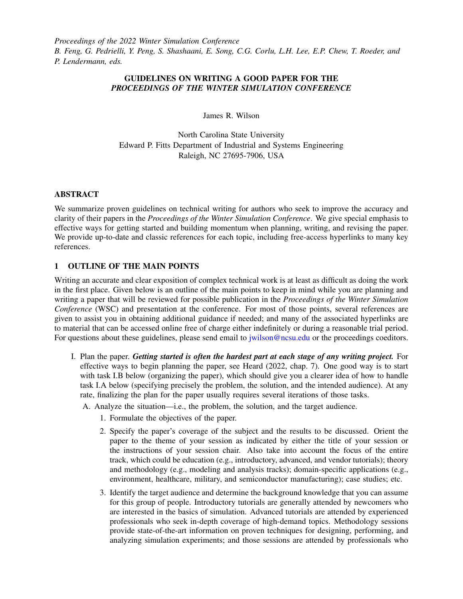*Proceedings of the 2022 Winter Simulation Conference B. Feng, G. Pedrielli, Y. Peng, S. Shashaani, E. Song, C.G. Corlu, L.H. Lee, E.P. Chew, T. Roeder, and P. Lendermann, eds.*

# GUIDELINES ON WRITING A GOOD PAPER FOR THE *PROCEEDINGS OF THE WINTER SIMULATION CONFERENCE*

James R. Wilson

North Carolina State University Edward P. Fitts Department of Industrial and Systems Engineering Raleigh, NC 27695-7906, USA

# ABSTRACT

We summarize proven guidelines on technical writing for authors who seek to improve the accuracy and clarity of their papers in the *Proceedings of the Winter Simulation Conference*. We give special emphasis to effective ways for getting started and building momentum when planning, writing, and revising the paper. We provide up-to-date and classic references for each topic, including free-access hyperlinks to many key references.

# 1 OUTLINE OF THE MAIN POINTS

Writing an accurate and clear exposition of complex technical work is at least as difficult as doing the work in the first place. Given below is an outline of the main points to keep in mind while you are planning and writing a paper that will be reviewed for possible publication in the *Proceedings of the Winter Simulation Conference* (WSC) and presentation at the conference. For most of those points, several references are given to assist you in obtaining additional guidance if needed; and many of the associated hyperlinks are to material that can be accessed online free of charge either indefinitely or during a reasonable trial period. For questions about these guidelines, please send email to [jwilson@ncsu.edu](mailto:jwilson@ncsu.edu) or the proceedings coeditors.

I. Plan the paper. *Getting started is often the hardest part at each stage of any writing project.* For effective ways to begin planning the paper, see Heard (2022, chap. 7). One good way is to start with task I.B below (organizing the paper), which should give you a clearer idea of how to handle task I.A below (specifying precisely the problem, the solution, and the intended audience). At any rate, finalizing the plan for the paper usually requires several iterations of those tasks.

A. Analyze the situation—i.e., the problem, the solution, and the target audience.

- 1. Formulate the objectives of the paper.
- 2. Specify the paper's coverage of the subject and the results to be discussed. Orient the paper to the theme of your session as indicated by either the title of your session or the instructions of your session chair. Also take into account the focus of the entire track, which could be education (e.g., introductory, advanced, and vendor tutorials); theory and methodology (e.g., modeling and analysis tracks); domain-specific applications (e.g., environment, healthcare, military, and semiconductor manufacturing); case studies; etc.
- 3. Identify the target audience and determine the background knowledge that you can assume for this group of people. Introductory tutorials are generally attended by newcomers who are interested in the basics of simulation. Advanced tutorials are attended by experienced professionals who seek in-depth coverage of high-demand topics. Methodology sessions provide state-of-the-art information on proven techniques for designing, performing, and analyzing simulation experiments; and those sessions are attended by professionals who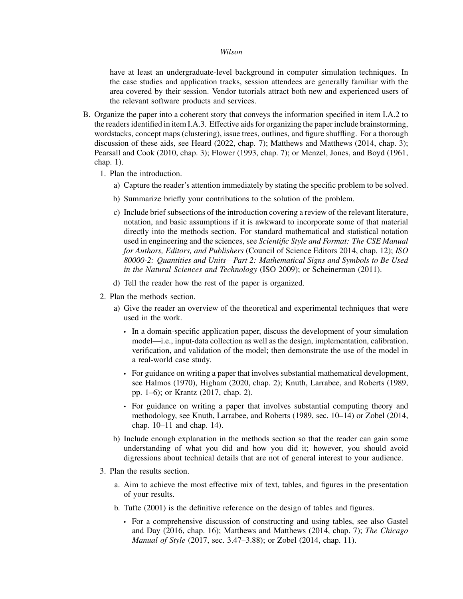have at least an undergraduate-level background in computer simulation techniques. In the case studies and application tracks, session attendees are generally familiar with the area covered by their session. Vendor tutorials attract both new and experienced users of the relevant software products and services.

- B. Organize the paper into a coherent story that conveys the information specified in item I.A.2 to the readers identified in item I.A.3. Effective aids for organizing the paper include brainstorming, wordstacks, concept maps (clustering), issue trees, outlines, and figure shuffling. For a thorough discussion of these aids, see Heard (2022, chap. 7); Matthews and Matthews (2014, chap. 3); Pearsall and Cook (2010, chap. 3); Flower (1993, chap. 7); or Menzel, Jones, and Boyd (1961, chap. 1).
	- 1. Plan the introduction.
		- a) Capture the reader's attention immediately by stating the specific problem to be solved.
		- b) Summarize briefly your contributions to the solution of the problem.
		- c) Include brief subsections of the introduction covering a review of the relevant literature, notation, and basic assumptions if it is awkward to incorporate some of that material directly into the methods section. For standard mathematical and statistical notation used in engineering and the sciences, see *Scientific Style and Format: The CSE Manual for Authors, Editors, and Publishers* (Council of Science Editors 2014, chap. 12); *ISO 80000-2: Quantities and Units—Part 2: Mathematical Signs and Symbols to Be Used in the Natural Sciences and Technology* (ISO 2009); or Scheinerman (2011).
		- d) Tell the reader how the rest of the paper is organized.
	- 2. Plan the methods section.
		- a) Give the reader an overview of the theoretical and experimental techniques that were used in the work.
			- In a domain-specific application paper, discuss the development of your simulation model—i.e., input-data collection as well as the design, implementation, calibration, verification, and validation of the model; then demonstrate the use of the model in a real-world case study.
			- For guidance on writing a paper that involves substantial mathematical development, see Halmos (1970), Higham (2020, chap. 2); Knuth, Larrabee, and Roberts (1989, pp. 1–6); or Krantz (2017, chap. 2).
			- For guidance on writing a paper that involves substantial computing theory and methodology, see Knuth, Larrabee, and Roberts (1989, sec. 10–14) or Zobel (2014, chap. 10–11 and chap. 14).
		- b) Include enough explanation in the methods section so that the reader can gain some understanding of what you did and how you did it; however, you should avoid digressions about technical details that are not of general interest to your audience.
	- 3. Plan the results section.
		- a. Aim to achieve the most effective mix of text, tables, and figures in the presentation of your results.
		- b. Tufte (2001) is the definitive reference on the design of tables and figures.
			- For a comprehensive discussion of constructing and using tables, see also Gastel and Day (2016, chap. 16); Matthews and Matthews (2014, chap. 7); *The Chicago Manual of Style* (2017, sec. 3.47–3.88); or Zobel (2014, chap. 11).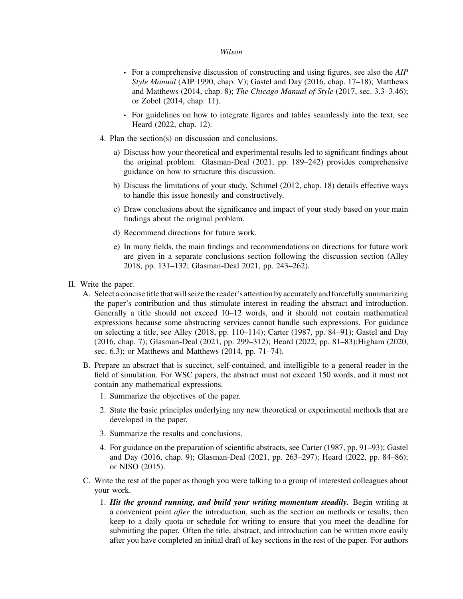- For a comprehensive discussion of constructing and using figures, see also the *AIP Style Manual* (AIP 1990, chap. V); Gastel and Day (2016, chap. 17–18); Matthews and Matthews (2014, chap. 8); *The Chicago Manual of Style* (2017, sec. 3.3–3.46); or Zobel (2014, chap. 11).
- For guidelines on how to integrate figures and tables seamlessly into the text, see Heard (2022, chap. 12).
- 4. Plan the section(s) on discussion and conclusions.
	- a) Discuss how your theoretical and experimental results led to significant findings about the original problem. Glasman-Deal (2021, pp. 189–242) provides comprehensive guidance on how to structure this discussion.
	- b) Discuss the limitations of your study. Schimel (2012, chap. 18) details effective ways to handle this issue honestly and constructively.
	- c) Draw conclusions about the significance and impact of your study based on your main findings about the original problem.
	- d) Recommend directions for future work.
	- e) In many fields, the main findings and recommendations on directions for future work are given in a separate conclusions section following the discussion section (Alley 2018, pp. 131–132; Glasman-Deal 2021, pp. 243–262).
- II. Write the paper.
	- A. Select a concise title that will seize the reader's attention by accurately and forcefully summarizing the paper's contribution and thus stimulate interest in reading the abstract and introduction. Generally a title should not exceed 10–12 words, and it should not contain mathematical expressions because some abstracting services cannot handle such expressions. For guidance on selecting a title, see Alley (2018, pp. 110–114); Carter (1987, pp. 84–91); Gastel and Day (2016, chap. 7); Glasman-Deal (2021, pp. 299–312); Heard (2022, pp. 81–83);Higham (2020, sec. 6.3); or Matthews and Matthews (2014, pp. 71–74).
	- B. Prepare an abstract that is succinct, self-contained, and intelligible to a general reader in the field of simulation. For WSC papers, the abstract must not exceed 150 words, and it must not contain any mathematical expressions.
		- 1. Summarize the objectives of the paper.
		- 2. State the basic principles underlying any new theoretical or experimental methods that are developed in the paper.
		- 3. Summarize the results and conclusions.
		- 4. For guidance on the preparation of scientific abstracts, see Carter (1987, pp. 91–93); Gastel and Day (2016, chap. 9); Glasman-Deal (2021, pp. 263–297); Heard (2022, pp. 84–86); or NISO (2015).
	- C. Write the rest of the paper as though you were talking to a group of interested colleagues about your work.
		- 1. *Hit the ground running, and build your writing momentum steadily.* Begin writing at a convenient point *after* the introduction, such as the section on methods or results; then keep to a daily quota or schedule for writing to ensure that you meet the deadline for submitting the paper. Often the title, abstract, and introduction can be written more easily after you have completed an initial draft of key sections in the rest of the paper. For authors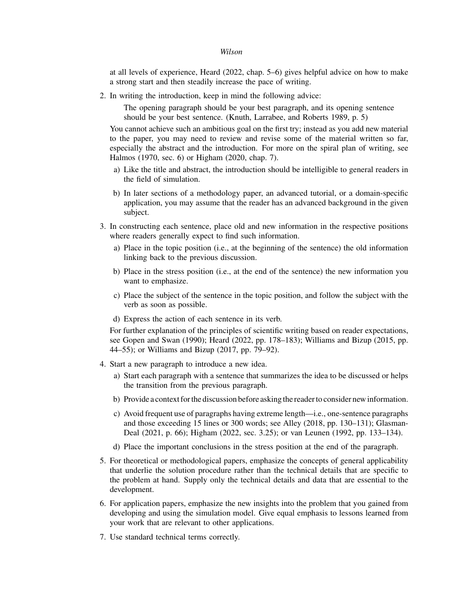at all levels of experience, Heard (2022, chap. 5–6) gives helpful advice on how to make a strong start and then steadily increase the pace of writing.

2. In writing the introduction, keep in mind the following advice:

The opening paragraph should be your best paragraph, and its opening sentence should be your best sentence. (Knuth, Larrabee, and Roberts 1989, p. 5)

You cannot achieve such an ambitious goal on the first try; instead as you add new material to the paper, you may need to review and revise some of the material written so far, especially the abstract and the introduction. For more on the spiral plan of writing, see Halmos (1970, sec. 6) or Higham (2020, chap. 7).

- a) Like the title and abstract, the introduction should be intelligible to general readers in the field of simulation.
- b) In later sections of a methodology paper, an advanced tutorial, or a domain-specific application, you may assume that the reader has an advanced background in the given subject.
- 3. In constructing each sentence, place old and new information in the respective positions where readers generally expect to find such information.
	- a) Place in the topic position (i.e., at the beginning of the sentence) the old information linking back to the previous discussion.
	- b) Place in the stress position (i.e., at the end of the sentence) the new information you want to emphasize.
	- c) Place the subject of the sentence in the topic position, and follow the subject with the verb as soon as possible.
	- d) Express the action of each sentence in its verb.

For further explanation of the principles of scientific writing based on reader expectations, see Gopen and Swan (1990); Heard (2022, pp. 178–183); Williams and Bizup (2015, pp. 44–55); or Williams and Bizup (2017, pp. 79–92).

- 4. Start a new paragraph to introduce a new idea.
	- a) Start each paragraph with a sentence that summarizes the idea to be discussed or helps the transition from the previous paragraph.
	- b) Provide a context forthe discussion before asking the reader to consider new information.
	- c) Avoid frequent use of paragraphs having extreme length—i.e., one-sentence paragraphs and those exceeding 15 lines or 300 words; see Alley (2018, pp. 130–131); Glasman-Deal (2021, p. 66); Higham (2022, sec. 3.25); or van Leunen (1992, pp. 133–134).
	- d) Place the important conclusions in the stress position at the end of the paragraph.
- 5. For theoretical or methodological papers, emphasize the concepts of general applicability that underlie the solution procedure rather than the technical details that are specific to the problem at hand. Supply only the technical details and data that are essential to the development.
- 6. For application papers, emphasize the new insights into the problem that you gained from developing and using the simulation model. Give equal emphasis to lessons learned from your work that are relevant to other applications.
- 7. Use standard technical terms correctly.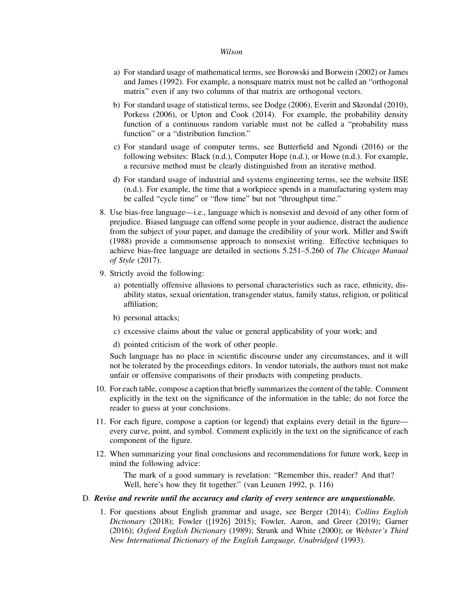- a) For standard usage of mathematical terms, see Borowski and Borwein (2002) or James and James (1992). For example, a nonsquare matrix must not be called an "orthogonal matrix" even if any two columns of that matrix are orthogonal vectors.
- b) For standard usage of statistical terms, see Dodge (2006), Everitt and Skrondal (2010), Porkess (2006), or Upton and Cook (2014). For example, the probability density function of a continuous random variable must not be called a "probability mass function" or a "distribution function."
- c) For standard usage of computer terms, see Butterfield and Ngondi (2016) or the following websites: Black (n.d.), Computer Hope (n.d.), or Howe (n.d.). For example, a recursive method must be clearly distinguished from an iterative method.
- d) For standard usage of industrial and systems engineering terms, see the website IISE (n.d.). For example, the time that a workpiece spends in a manufacturing system may be called "cycle time" or "flow time" but not "throughput time."
- 8. Use bias-free language—i.e., language which is nonsexist and devoid of any other form of prejudice. Biased language can offend some people in your audience, distract the audience from the subject of your paper, and damage the credibility of your work. Miller and Swift (1988) provide a commonsense approach to nonsexist writing. Effective techniques to achieve bias-free language are detailed in sections 5.251–5.260 of *The Chicago Manual of Style* (2017).
- 9. Strictly avoid the following:
	- a) potentially offensive allusions to personal characteristics such as race, ethnicity, disability status, sexual orientation, transgender status, family status, religion, or political affiliation;
	- b) personal attacks;
	- c) excessive claims about the value or general applicability of your work; and
	- d) pointed criticism of the work of other people.

Such language has no place in scientific discourse under any circumstances, and it will not be tolerated by the proceedings editors. In vendor tutorials, the authors must not make unfair or offensive comparisons of their products with competing products.

- 10. For each table, compose a caption that briefly summarizes the content of the table. Comment explicitly in the text on the significance of the information in the table; do not force the reader to guess at your conclusions.
- 11. For each figure, compose a caption (or legend) that explains every detail in the figure every curve, point, and symbol. Comment explicitly in the text on the significance of each component of the figure.
- 12. When summarizing your final conclusions and recommendations for future work, keep in mind the following advice:

The mark of a good summary is revelation: "Remember this, reader? And that? Well, here's how they fit together." (van Leunen 1992, p. 116)

# D. *Revise and rewrite until the accuracy and clarity of every sentence are unquestionable.*

1. For questions about English grammar and usage, see Berger (2014); *Collins English Dictionary* (2018); Fowler ([1926] 2015); Fowler, Aaron, and Greer (2019); Garner (2016); *Oxford English Dictionary* (1989); Strunk and White (2000); or *Webster's Third New International Dictionary of the English Language, Unabridged* (1993).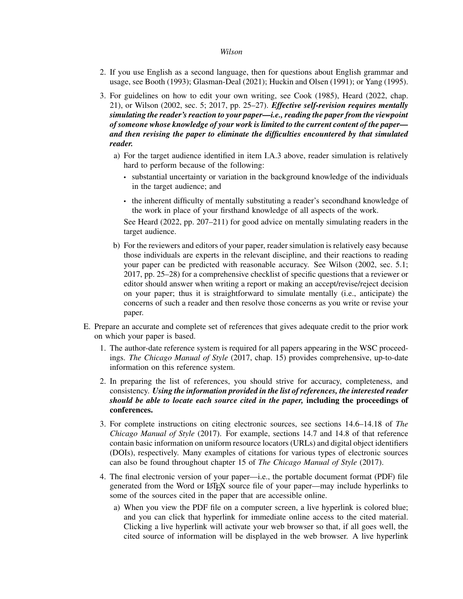- 2. If you use English as a second language, then for questions about English grammar and usage, see Booth (1993); Glasman-Deal (2021); Huckin and Olsen (1991); or Yang (1995).
- 3. For guidelines on how to edit your own writing, see Cook (1985), Heard (2022, chap. 21), or Wilson (2002, sec. 5; 2017, pp. 25–27). *Effective self-revision requires mentally simulating the reader's reaction to your paper—i.e., reading the paper from the viewpoint of someone whose knowledge of your work is limited to the current content of the paper and then revising the paper to eliminate the difficulties encountered by that simulated reader.*
	- a) For the target audience identified in item I.A.3 above, reader simulation is relatively hard to perform because of the following:
		- substantial uncertainty or variation in the background knowledge of the individuals in the target audience; and
		- the inherent difficulty of mentally substituting a reader's secondhand knowledge of the work in place of your firsthand knowledge of all aspects of the work.

See Heard (2022, pp. 207–211) for good advice on mentally simulating readers in the target audience.

- b) For the reviewers and editors of your paper, reader simulation is relatively easy because those individuals are experts in the relevant discipline, and their reactions to reading your paper can be predicted with reasonable accuracy. See Wilson (2002, sec. 5.1; 2017, pp. 25–28) for a comprehensive checklist of specific questions that a reviewer or editor should answer when writing a report or making an accept/revise/reject decision on your paper; thus it is straightforward to simulate mentally (i.e., anticipate) the concerns of such a reader and then resolve those concerns as you write or revise your paper.
- E. Prepare an accurate and complete set of references that gives adequate credit to the prior work on which your paper is based.
	- 1. The author-date reference system is required for all papers appearing in the WSC proceedings. *The Chicago Manual of Style* (2017, chap. 15) provides comprehensive, up-to-date information on this reference system.
	- 2. In preparing the list of references, you should strive for accuracy, completeness, and consistency. *Using the information provided in the list of references, the interested reader should be able to locate each source cited in the paper,* including the proceedings of conferences.
	- 3. For complete instructions on citing electronic sources, see sections 14.6–14.18 of *The Chicago Manual of Style* (2017). For example, sections 14.7 and 14.8 of that reference contain basic information on uniform resource locators (URLs) and digital object identifiers (DOIs), respectively. Many examples of citations for various types of electronic sources can also be found throughout chapter 15 of *The Chicago Manual of Style* (2017).
	- 4. The final electronic version of your paper—i.e., the portable document format (PDF) file generated from the Word or LATEX source file of your paper—may include hyperlinks to some of the sources cited in the paper that are accessible online.
		- a) When you view the PDF file on a computer screen, a live hyperlink is colored blue; and you can click that hyperlink for immediate online access to the cited material. Clicking a live hyperlink will activate your web browser so that, if all goes well, the cited source of information will be displayed in the web browser. A live hyperlink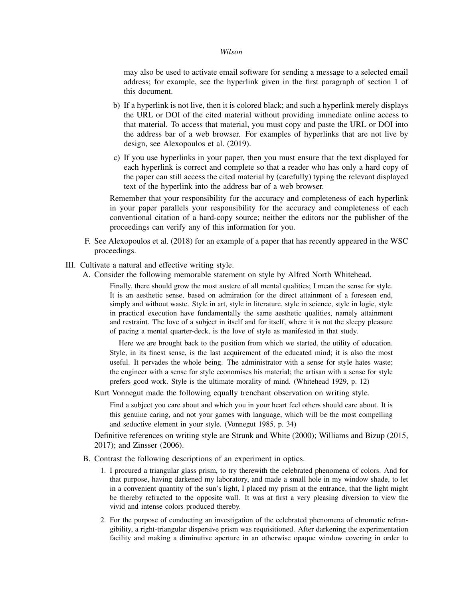may also be used to activate email software for sending a message to a selected email address; for example, see the hyperlink given in the first paragraph of section 1 of this document.

- b) If a hyperlink is not live, then it is colored black; and such a hyperlink merely displays the URL or DOI of the cited material without providing immediate online access to that material. To access that material, you must copy and paste the URL or DOI into the address bar of a web browser. For examples of hyperlinks that are not live by design, see Alexopoulos et al. (2019).
- c) If you use hyperlinks in your paper, then you must ensure that the text displayed for each hyperlink is correct and complete so that a reader who has only a hard copy of the paper can still access the cited material by (carefully) typing the relevant displayed text of the hyperlink into the address bar of a web browser.

Remember that your responsibility for the accuracy and completeness of each hyperlink in your paper parallels your responsibility for the accuracy and completeness of each conventional citation of a hard-copy source; neither the editors nor the publisher of the proceedings can verify any of this information for you.

- F. See Alexopoulos et al. (2018) for an example of a paper that has recently appeared in the WSC proceedings.
- III. Cultivate a natural and effective writing style.
	- A. Consider the following memorable statement on style by Alfred North Whitehead.

Finally, there should grow the most austere of all mental qualities; I mean the sense for style. It is an aesthetic sense, based on admiration for the direct attainment of a foreseen end, simply and without waste. Style in art, style in literature, style in science, style in logic, style in practical execution have fundamentally the same aesthetic qualities, namely attainment and restraint. The love of a subject in itself and for itself, where it is not the sleepy pleasure of pacing a mental quarter-deck, is the love of style as manifested in that study.

Here we are brought back to the position from which we started, the utility of education. Style, in its finest sense, is the last acquirement of the educated mind; it is also the most useful. It pervades the whole being. The administrator with a sense for style hates waste; the engineer with a sense for style economises his material; the artisan with a sense for style prefers good work. Style is the ultimate morality of mind. (Whitehead 1929, p. 12)

Kurt Vonnegut made the following equally trenchant observation on writing style.

Find a subject you care about and which you in your heart feel others should care about. It is this genuine caring, and not your games with language, which will be the most compelling and seductive element in your style. (Vonnegut 1985, p. 34)

Definitive references on writing style are Strunk and White (2000); Williams and Bizup (2015, 2017); and Zinsser (2006).

- B. Contrast the following descriptions of an experiment in optics.
	- 1. I procured a triangular glass prism, to try therewith the celebrated phenomena of colors. And for that purpose, having darkened my laboratory, and made a small hole in my window shade, to let in a convenient quantity of the sun's light, I placed my prism at the entrance, that the light might be thereby refracted to the opposite wall. It was at first a very pleasing diversion to view the vivid and intense colors produced thereby.
	- 2. For the purpose of conducting an investigation of the celebrated phenomena of chromatic refrangibility, a right-triangular dispersive prism was requisitioned. After darkening the experimentation facility and making a diminutive aperture in an otherwise opaque window covering in order to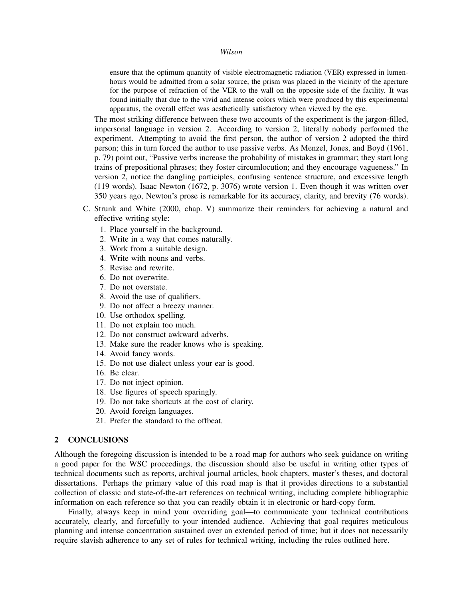ensure that the optimum quantity of visible electromagnetic radiation (VER) expressed in lumenhours would be admitted from a solar source, the prism was placed in the vicinity of the aperture for the purpose of refraction of the VER to the wall on the opposite side of the facility. It was found initially that due to the vivid and intense colors which were produced by this experimental apparatus, the overall effect was aesthetically satisfactory when viewed by the eye.

The most striking difference between these two accounts of the experiment is the jargon-filled, impersonal language in version 2. According to version 2, literally nobody performed the experiment. Attempting to avoid the first person, the author of version 2 adopted the third person; this in turn forced the author to use passive verbs. As Menzel, Jones, and Boyd (1961, p. 79) point out, "Passive verbs increase the probability of mistakes in grammar; they start long trains of prepositional phrases; they foster circumlocution; and they encourage vagueness." In version 2, notice the dangling participles, confusing sentence structure, and excessive length (119 words). Isaac Newton (1672, p. 3076) wrote version 1. Even though it was written over 350 years ago, Newton's prose is remarkable for its accuracy, clarity, and brevity (76 words).

- C. Strunk and White (2000, chap. V) summarize their reminders for achieving a natural and effective writing style:
	- 1. Place yourself in the background.
	- 2. Write in a way that comes naturally.
	- 3. Work from a suitable design.
	- 4. Write with nouns and verbs.
	- 5. Revise and rewrite.
	- 6. Do not overwrite.
	- 7. Do not overstate.
	- 8. Avoid the use of qualifiers.
	- 9. Do not affect a breezy manner.
	- 10. Use orthodox spelling.
	- 11. Do not explain too much.
	- 12. Do not construct awkward adverbs.
	- 13. Make sure the reader knows who is speaking.
	- 14. Avoid fancy words.
	- 15. Do not use dialect unless your ear is good.
	- 16. Be clear.
	- 17. Do not inject opinion.
	- 18. Use figures of speech sparingly.
	- 19. Do not take shortcuts at the cost of clarity.
	- 20. Avoid foreign languages.
	- 21. Prefer the standard to the offbeat.

# 2 CONCLUSIONS

Although the foregoing discussion is intended to be a road map for authors who seek guidance on writing a good paper for the WSC proceedings, the discussion should also be useful in writing other types of technical documents such as reports, archival journal articles, book chapters, master's theses, and doctoral dissertations. Perhaps the primary value of this road map is that it provides directions to a substantial collection of classic and state-of-the-art references on technical writing, including complete bibliographic information on each reference so that you can readily obtain it in electronic or hard-copy form.

Finally, always keep in mind your overriding goal—to communicate your technical contributions accurately, clearly, and forcefully to your intended audience. Achieving that goal requires meticulous planning and intense concentration sustained over an extended period of time; but it does not necessarily require slavish adherence to any set of rules for technical writing, including the rules outlined here.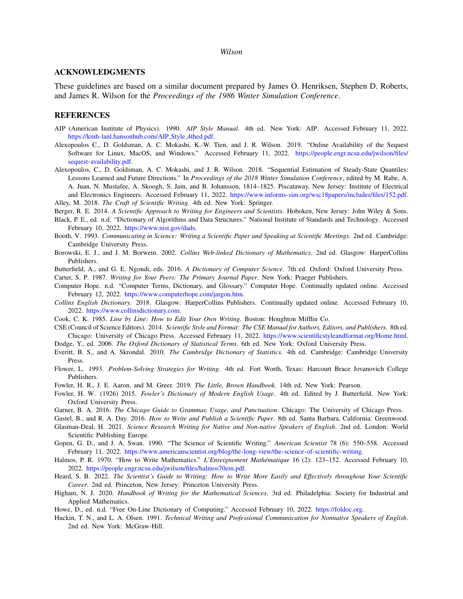# ACKNOWLEDGMENTS

These guidelines are based on a similar document prepared by James O. Henriksen, Stephen D. Roberts, and James R. Wilson for the *Proceedings of the 1986 Winter Simulation Conference*.

#### REFERENCES

- AIP (American Institute of Physics). 1990. *AIP Style Manual*. 4th ed. New York: AIP. Accessed February 11, 2022. [https://kmh-lanl.hansonhub.com/AIP](https://kmh-lanl.hansonhub.com/AIP_Style_4thed.pdf) Style 4thed.pdf.
- Alexopoulos C., D. Goldsman, A. C. Mokashi, K.-W. Tien, and J. R. Wilson. 2019. "Online Availability of the Sequest Software for Linux, MacOS, and Windows." Accessed February 11, 2022. [https://people.engr.ncsu.edu/jwilson/files/](https://people.engr.ncsu.edu/jwilson/files/sequest-availability.pdf) [sequest-availability.pdf.](https://people.engr.ncsu.edu/jwilson/files/sequest-availability.pdf)
- Alexopoulos, C., D. Goldsman, A. C. Mokashi, and J. R. Wilson. 2018. "Sequential Estimation of Steady-State Quantiles: Lessons Learned and Future Directions." In *Proceedings of the 2018 Winter Simulation Conference*, edited by M. Rabe, A. A. Juan, N. Mustafee, A. Skoogh, S. Jain, and B. Johansson, 1814–1825. Piscataway, New Jersey: Institute of Electrical and Electronics Engineers. Accessed February 11, 2022. [https://www.informs-sim.org/wsc18papers/includes/files/152.pdf.](https://www.informs-sim.org/wsc18papers/includes/files/152.pdf) Alley, M. 2018. *The Craft of Scientific Writing*. 4th ed. New York: Springer.

Berger, R. E. 2014. *A Scientific Approach to Writing for Engineers and Scientists*. Hoboken, New Jersey: John Wiley & Sons.

- Black, P. E., ed. n.d. "Dictionary of Algorithms and Data Structures." National Institute of Standards and Technology. Accessed February 10, 2022. [https://www.nist.gov/dads.](https://www.nist.gov/dads/)
- Booth, V. 1993. *Communicating in Science: Writing a Scientific Paper and Speaking at Scientific Meetings*. 2nd ed. Cambridge: Cambridge University Press.
- Borowski, E. J., and J. M. Borwein. 2002. *Collins Web-linked Dictionary of Mathematics*. 2nd ed. Glasgow: HarperCollins Publishers.
- Butterfield, A., and G. E. Ngondi, eds. 2016. *A Dictionary of Computer Science*. 7th ed. Oxford: Oxford University Press.

Carter, S. P. 1987. *Writing for Your Peers: The Primary Journal Paper*. New York: Praeger Publishers.

- Computer Hope. n.d. "Computer Terms, Dictionary, and Glossary." Computer Hope. Continually updated online. Accessed February 12, 2022. [https://www.computerhope.com/jargon.htm.](https://www.computerhope.com/jargon.htm)
- *Collins English Dictionary.* 2018. Glasgow: HarperCollins Publishers. Continually updated online. Accessed February 10, 2022. [https://www.collinsdictionary.com.](https://www.collinsdictionary.com/contact-us)
- Cook, C. K. 1985. *Line by Line: How to Edit Your Own Writing*. Boston: Houghton Mifflin Co.
- CSE (Council of Science Editors). 2014. *Scientific Style and Format: The CSE Manual for Authors, Editors, and Publishers*. 8th ed. Chicago: University of Chicago Press. Accessed February 11, 2022. [https://www.scientificstyleandformat.org/Home.html.](https://www.scientificstyleandformat.org/Home.html) Dodge, Y., ed. 2006. *The Oxford Dictionary of Statistical Terms*. 6th ed. New York: Oxford University Press.
- Everitt, B. S., and A. Skrondal. 2010. *The Cambridge Dictionary of Statistics*. 4th ed. Cambridge: Cambridge University
- Press.
- Flower, L. 1993. *Problem-Solving Strategies for Writing*. 4th ed. Fort Worth, Texas: Harcourt Brace Jovanovich College Publishers.
- Fowler, H. R., J. E. Aaron, and M. Greer. 2019. *The Little, Brown Handbook*. 14th ed. New York: Pearson.
- Fowler, H. W. (1926) 2015. *Fowler's Dictionary of Modern English Usage*. 4th ed. Edited by J. Butterfield. New York: Oxford University Press.
- Garner, B. A. 2016. *The Chicago Guide to Grammar, Usage, and Punctuation*. Chicago: The University of Chicago Press.
- Gastel, B., and R. A. Day. 2016. *How to Write and Publish a Scientific Paper*. 8th ed. Santa Barbara, California: Greenwood. Glasman-Deal, H. 2021. *Science Research Writing for Native and Non-native Speakers of English*. 2nd ed. London: World
- Scientific Publishing Europe.
- Gopen, G. D., and J. A. Swan. 1990. "The Science of Scientific Writing." *American Scientist* 78 (6): 550–558. Accessed February 11, 2022. [https://www.americanscientist.org/blog/the-long-view/the-science-of-scientific-writing.](https://www.americanscientist.org/blog/the-long-view/the-science-of-scientific-writing)
- Halmos, P. R. 1970. "How to Write Mathematics." *L'Enseignement Mathématique* 16 (2): 123-152. Accessed February 10, 2022. [https://people.engr.ncsu.edu/jwilson/files/halmos70em.pdf.](https://people.engr.ncsu.edu/jwilson/files/halmos70em.pdf)
- Heard, S. B. 2022. *The Scientist's Guide to Writing: How to Write More Easily and Effectively throughout Your Scientific Career*. 2nd ed. Princeton, New Jersey: Princeton University Press.
- Higham, N. J. 2020. *Handbook of Writing for the Mathematical Sciences*. 3rd ed. Philadelphia: Society for Industrial and Applied Mathematics.

Howe, D., ed. n.d. "Free On-Line Dictionary of Computing." Accessed February 10, 2022. [https://foldoc.org.](https://foldoc.org/)

Huckin, T. N., and L. A. Olsen. 1991. *Technical Writing and Professional Communication for Nonnative Speakers of English*. 2nd ed. New York: McGraw-Hill.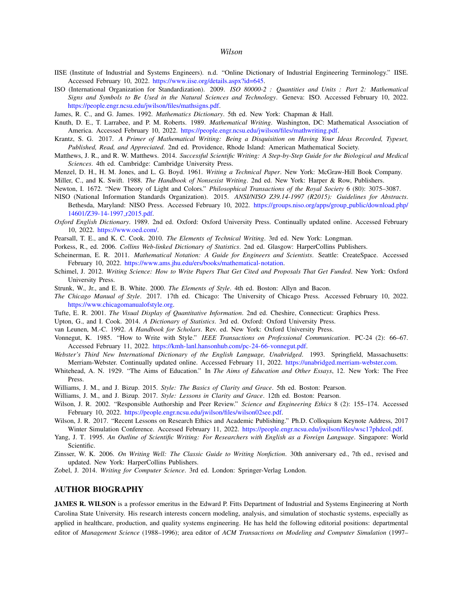- IISE (Institute of Industrial and Systems Engineers). n.d. "Online Dictionary of Industrial Engineering Terminology." IISE. Accessed February 10, 2022. [https://www.iise.org/details.aspx?id=645.](https://www.iise.org/details.aspx?id=645)
- ISO (International Organization for Standardization). 2009. *ISO 80000-2 : Quantities and Units : Part 2: Mathematical Signs and Symbols to Be Used in the Natural Sciences and Technology*. Geneva: ISO. Accessed February 10, 2022. [https://people.engr.ncsu.edu/jwilson/files/mathsigns.pdf.](https://people.engr.ncsu.edu/jwilson/files/mathsigns.pdf)
- James, R. C., and G. James. 1992. *Mathematics Dictionary*. 5th ed. New York: Chapman & Hall.
- Knuth, D. E., T. Larrabee, and P. M. Roberts. 1989. *Mathematical Writing*. Washington, DC: Mathematical Association of America. Accessed February 10, 2022. [https://people.engr.ncsu.edu/jwilson/files/mathwriting.pdf.](https://people.engr.ncsu.edu/jwilson/files/mathwriting.pdf)
- Krantz, S. G. 2017. *A Primer of Mathematical Writing: Being a Disquisition on Having Your Ideas Recorded, Typeset, Published, Read, and Appreciated*. 2nd ed. Providence, Rhode Island: American Mathematical Society.
- Matthews, J. R., and R. W. Matthews. 2014. *Successful Scientific Writing: A Step-by-Step Guide for the Biological and Medical Sciences*. 4th ed. Cambridge: Cambridge University Press.
- Menzel, D. H., H. M. Jones, and L. G. Boyd. 1961. *Writing a Technical Paper*. New York: McGraw-Hill Book Company.
- Miller, C., and K. Swift. 1988. *The Handbook of Nonsexist Writing*. 2nd ed. New York: Harper & Row, Publishers.
- Newton, I. 1672. "New Theory of Light and Colors." *Philosophical Transactions of the Royal Society* 6 (80): 3075–3087.
- NISO (National Information Standards Organization). 2015. *ANSI/NISO Z39.14-1997 (R2015): Guidelines for Abstracts*. Bethesda, Maryland: NISO Press. Accessed February 10, 2022. [https://groups.niso.org/apps/group](https://groups.niso.org/apps/group_public/download.php/14601/Z39-14-1997_r2015.pdf) public/download.php/ [14601/Z39-14-1997](https://groups.niso.org/apps/group_public/download.php/14601/Z39-14-1997_r2015.pdf)\_r2015.pdf.
- *Oxford English Dictionary*. 1989. 2nd ed. Oxford: Oxford University Press. Continually updated online. Accessed February 10, 2022. [https://www.oed.com/.](https://www.oed.com/)
- Pearsall, T. E., and K. C. Cook. 2010. *The Elements of Technical Writing*. 3rd ed. New York: Longman.
- Porkess, R., ed. 2006. *Collins Web-linked Dictionary of Statistics*. 2nd ed. Glasgow: HarperCollins Publishers.
- Scheinerman, E. R. 2011. *Mathematical Notation: A Guide for Engineers and Scientists*. Seattle: CreateSpace. Accessed February 10, 2022. [https://www.ams.jhu.edu/ers/books/mathematical-notation.](https://www.ams.jhu.edu/ers/books/mathematical-notation)
- Schimel, J. 2012. *Writing Science: How to Write Papers That Get Cited and Proposals That Get Funded*. New York: Oxford University Press.
- Strunk, W., Jr., and E. B. White. 2000. *The Elements of Style*. 4th ed. Boston: Allyn and Bacon.
- *The Chicago Manual of Style*. 2017. 17th ed. Chicago: The University of Chicago Press. Accessed February 10, 2022. [https://www.chicagomanualofstyle.org.](https://www.chicagomanualofstyle.org)
- Tufte, E. R. 2001. *The Visual Display of Quantitative Information*. 2nd ed. Cheshire, Connecticut: Graphics Press.
- Upton, G., and I. Cook. 2014. *A Dictionary of Statistics*. 3rd ed. Oxford: Oxford University Press.
- van Leunen, M.-C. 1992. *A Handbook for Scholars*. Rev. ed. New York: Oxford University Press.
- Vonnegut, K. 1985. "How to Write with Style." *IEEE Transactions on Professional Communication*. PC-24 (2): 66–67. Accessed February 11, 2022. [https://kmh-lanl.hansonhub.com/pc-24-66-vonnegut.pdf.](https://kmh-lanl.hansonhub.com/pc-24-66-vonnegut.pdf)
- *Webster's Third New International Dictionary of the English Language, Unabridged*. 1993. Springfield, Massachusetts: Merriam-Webster. Continually updated online. Accessed February 11, 2022. [https://unabridged.merriam-webster.com.](https://unabridged.merriam-webster.com)
- Whitehead, A. N. 1929. "The Aims of Education." In *The Aims of Education and Other Essays*, 12. New York: The Free Press.
- Williams, J. M., and J. Bizup. 2015. *Style: The Basics of Clarity and Grace*. 5th ed. Boston: Pearson.
- Williams, J. M., and J. Bizup. 2017. *Style: Lessons in Clarity and Grace*. 12th ed. Boston: Pearson.
- Wilson, J. R. 2002. "Responsible Authorship and Peer Review." *Science and Engineering Ethics* 8 (2): 155–174. Accessed February 10, 2022. [https://people.engr.ncsu.edu/jwilson/files/wilson02see.pdf.](https://people.engr.ncsu.edu/jwilson/files/wilson02see.pdf)
- Wilson, J. R. 2017. "Recent Lessons on Research Ethics and Academic Publishing." Ph.D. Colloquium Keynote Address, 2017 Winter Simulation Conference. Accessed February 11, 2022. [https://people.engr.ncsu.edu/jwilson/files/wsc17phdcol.pdf.](https://people.engr.ncsu.edu/jwilson/files/wsc17phdcol.pdf)
- Yang, J. T. 1995. *An Outline of Scientific Writing: For Researchers with English as a Foreign Language*. Singapore: World Scientific.
- Zinsser, W. K. 2006. *On Writing Well: The Classic Guide to Writing Nonfiction*. 30th anniversary ed., 7th ed., revised and updated. New York: HarperCollins Publishers.
- Zobel, J. 2014. *Writing for Computer Science*. 3rd ed. London: Springer-Verlag London.

## AUTHOR BIOGRAPHY

JAMES R. WILSON is a professor emeritus in the Edward P. Fitts Department of Industrial and Systems Engineering at North Carolina State University. His research interests concern modeling, analysis, and simulation of stochastic systems, especially as applied in healthcare, production, and quality systems engineering. He has held the following editorial positions: departmental editor of *Management Science* (1988–1996); area editor of *ACM Transactions on Modeling and Computer Simulation* (1997–